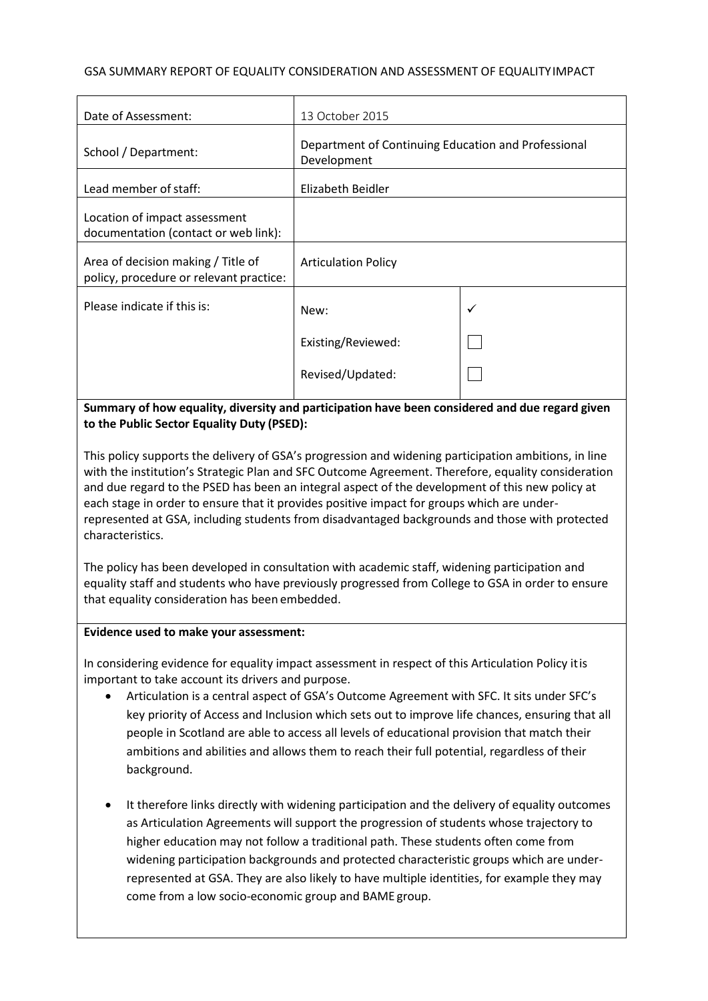#### GSA SUMMARY REPORT OF EQUALITY CONSIDERATION AND ASSESSMENT OF EQUALITYIMPACT

| Date of Assessment:                                                           | 13 October 2015                                                    |              |
|-------------------------------------------------------------------------------|--------------------------------------------------------------------|--------------|
| School / Department:                                                          | Department of Continuing Education and Professional<br>Development |              |
| Lead member of staff:                                                         | Elizabeth Beidler                                                  |              |
| Location of impact assessment<br>documentation (contact or web link):         |                                                                    |              |
| Area of decision making / Title of<br>policy, procedure or relevant practice: | <b>Articulation Policy</b>                                         |              |
| Please indicate if this is:                                                   | New:                                                               | $\checkmark$ |
|                                                                               | Existing/Reviewed:                                                 |              |
|                                                                               | Revised/Updated:                                                   |              |
|                                                                               |                                                                    |              |

**Summary of how equality, diversity and participation have been considered and due regard given to the Public Sector Equality Duty (PSED):**

This policy supports the delivery of GSA's progression and widening participation ambitions, in line with the institution's Strategic Plan and SFC Outcome Agreement. Therefore, equality consideration and due regard to the PSED has been an integral aspect of the development of this new policy at each stage in order to ensure that it provides positive impact for groups which are underrepresented at GSA, including students from disadvantaged backgrounds and those with protected characteristics.

The policy has been developed in consultation with academic staff, widening participation and equality staff and students who have previously progressed from College to GSA in order to ensure that equality consideration has been embedded.

#### **Evidence used to make your assessment:**

In considering evidence for equality impact assessment in respect of this Articulation Policy itis important to take account its drivers and purpose.

- Articulation is a central aspect of GSA's Outcome Agreement with SFC. It sits under SFC's key priority of Access and Inclusion which sets out to improve life chances, ensuring that all people in Scotland are able to access all levels of educational provision that match their ambitions and abilities and allows them to reach their full potential, regardless of their background.
- It therefore links directly with widening participation and the delivery of equality outcomes as Articulation Agreements will support the progression of students whose trajectory to higher education may not follow a traditional path. These students often come from widening participation backgrounds and protected characteristic groups which are underrepresented at GSA. They are also likely to have multiple identities, for example they may come from a low socio-economic group and BAME group.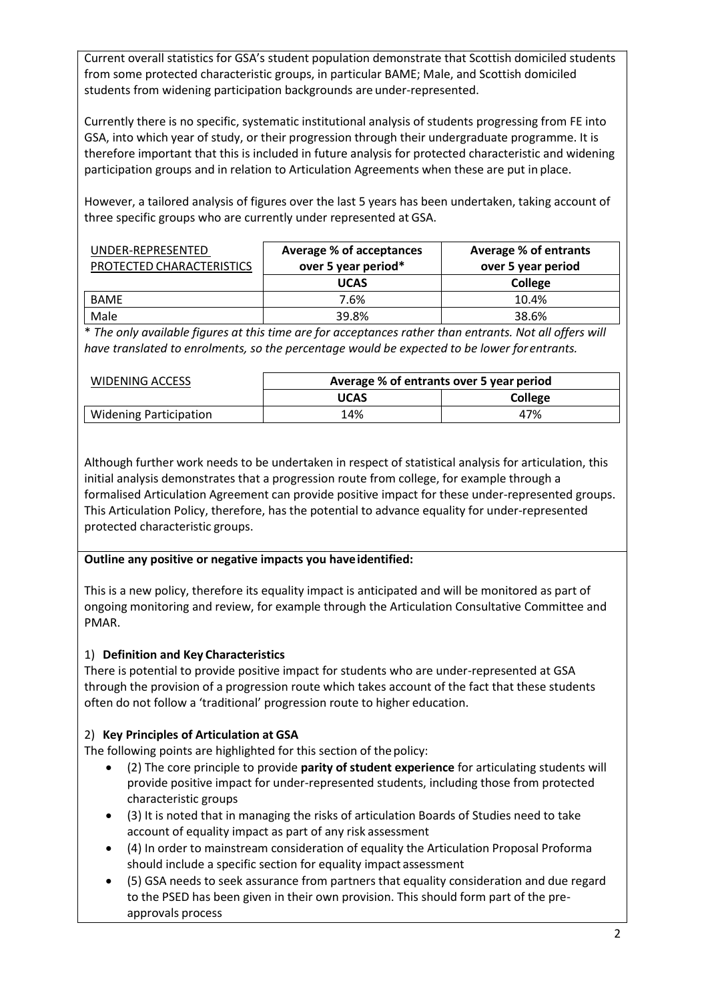Current overall statistics for GSA's student population demonstrate that Scottish domiciled students from some protected characteristic groups, in particular BAME; Male, and Scottish domiciled students from widening participation backgrounds are under-represented.

Currently there is no specific, systematic institutional analysis of students progressing from FE into GSA, into which year of study, or their progression through their undergraduate programme. It is therefore important that this is included in future analysis for protected characteristic and widening participation groups and in relation to Articulation Agreements when these are put in place.

However, a tailored analysis of figures over the last 5 years has been undertaken, taking account of three specific groups who are currently under represented at GSA.

| UNDER-REPRESENTED<br>PROTECTED CHARACTERISTICS | Average % of acceptances<br>over 5 year period* | Average % of entrants<br>over 5 year period |
|------------------------------------------------|-------------------------------------------------|---------------------------------------------|
|                                                | <b>UCAS</b>                                     | College                                     |
| <b>BAME</b>                                    | 7.6%                                            | 10.4%                                       |
| Male                                           | 39.8%                                           | 38.6%                                       |

\* *The only available figures at this time are for acceptances rather than entrants. Not all offers will have translated to enrolments, so the percentage would be expected to be lower forentrants.*

| WIDENING ACCESS               | Average % of entrants over 5 year period |         |
|-------------------------------|------------------------------------------|---------|
|                               | <b>UCAS</b>                              | College |
| <b>Widening Participation</b> | 14%                                      | 47%     |

Although further work needs to be undertaken in respect of statistical analysis for articulation, this initial analysis demonstrates that a progression route from college, for example through a formalised Articulation Agreement can provide positive impact for these under-represented groups. This Articulation Policy, therefore, has the potential to advance equality for under-represented protected characteristic groups.

## **Outline any positive or negative impacts you haveidentified:**

This is a new policy, therefore its equality impact is anticipated and will be monitored as part of ongoing monitoring and review, for example through the Articulation Consultative Committee and PMAR.

## 1) **Definition and Key Characteristics**

There is potential to provide positive impact for students who are under-represented at GSA through the provision of a progression route which takes account of the fact that these students often do not follow a 'traditional' progression route to higher education.

## 2) **Key Principles of Articulation at GSA**

The following points are highlighted for this section of the policy:

- (2) The core principle to provide **parity of student experience** for articulating students will provide positive impact for under-represented students, including those from protected characteristic groups
- (3) It is noted that in managing the risks of articulation Boards of Studies need to take account of equality impact as part of any risk assessment
- (4) In order to mainstream consideration of equality the Articulation Proposal Proforma should include a specific section for equality impact assessment
- (5) GSA needs to seek assurance from partners that equality consideration and due regard to the PSED has been given in their own provision. This should form part of the preapprovals process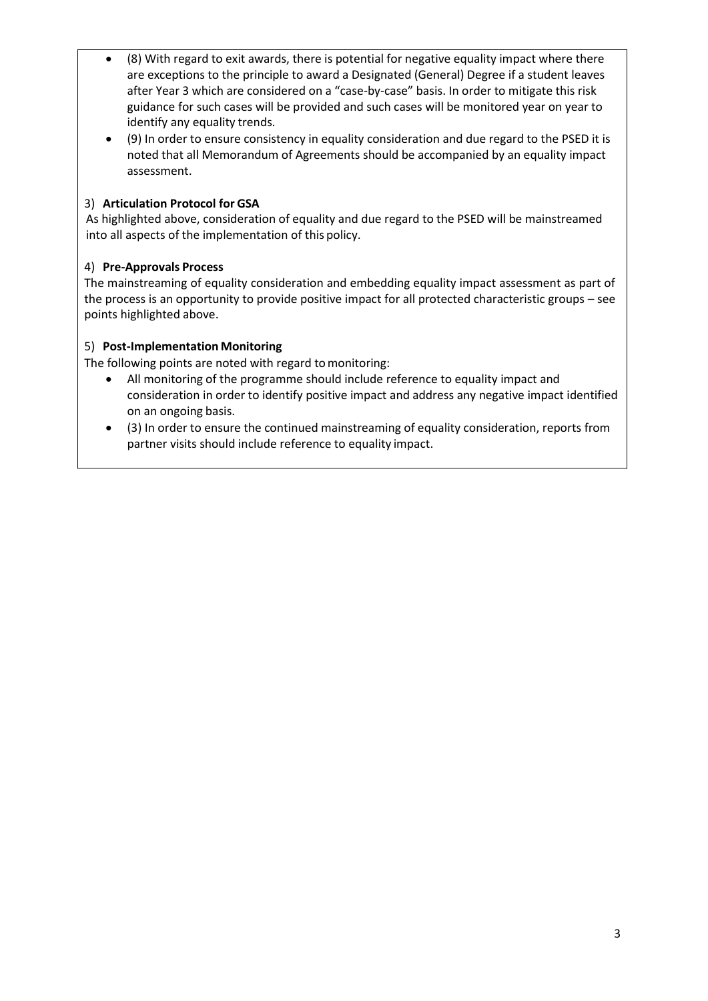- (8) With regard to exit awards, there is potential for negative equality impact where there are exceptions to the principle to award a Designated (General) Degree if a student leaves after Year 3 which are considered on a "case-by-case" basis. In order to mitigate this risk guidance for such cases will be provided and such cases will be monitored year on year to identify any equality trends.
- (9) In order to ensure consistency in equality consideration and due regard to the PSED it is noted that all Memorandum of Agreements should be accompanied by an equality impact assessment.

# 3) **Articulation Protocol for GSA**

As highlighted above, consideration of equality and due regard to the PSED will be mainstreamed into all aspects of the implementation of this policy.

# 4) **Pre-Approvals Process**

The mainstreaming of equality consideration and embedding equality impact assessment as part of the process is an opportunity to provide positive impact for all protected characteristic groups – see points highlighted above.

# 5) **Post-Implementation Monitoring**

The following points are noted with regard to monitoring:

- All monitoring of the programme should include reference to equality impact and consideration in order to identify positive impact and address any negative impact identified on an ongoing basis.
- (3) In order to ensure the continued mainstreaming of equality consideration, reports from partner visits should include reference to equality impact.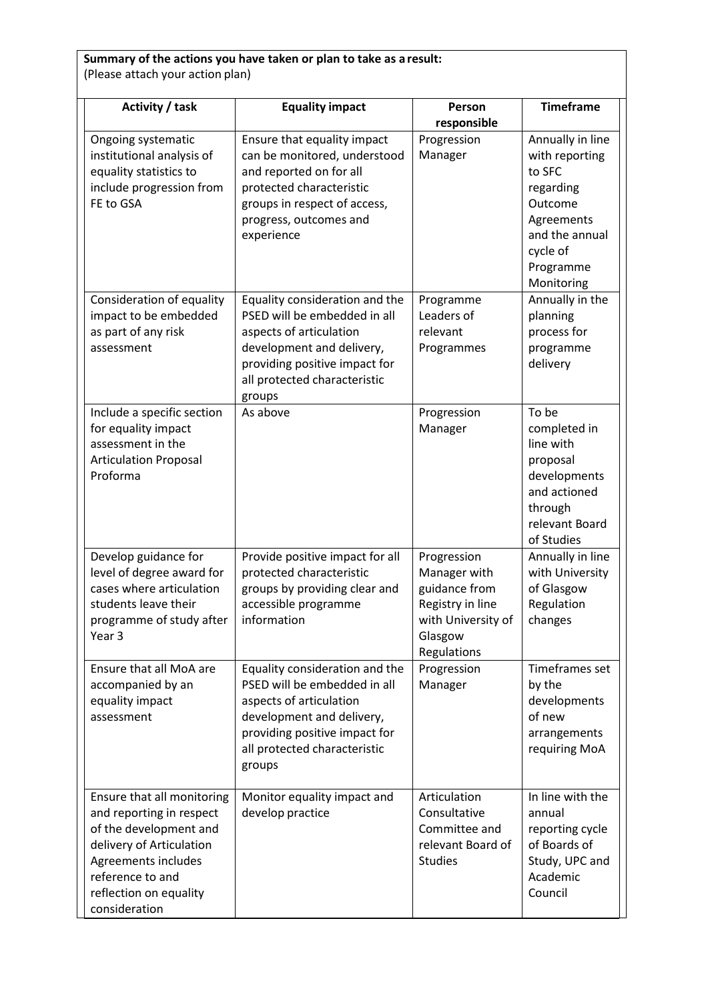| Activity / task                                                                                                                                                                                    | <b>Equality impact</b>                                                                                                                                                                            | Person<br>responsible                                                                                            | <b>Timeframe</b>                                                                                                                            |
|----------------------------------------------------------------------------------------------------------------------------------------------------------------------------------------------------|---------------------------------------------------------------------------------------------------------------------------------------------------------------------------------------------------|------------------------------------------------------------------------------------------------------------------|---------------------------------------------------------------------------------------------------------------------------------------------|
| Ongoing systematic<br>institutional analysis of<br>equality statistics to<br>include progression from<br>FE to GSA                                                                                 | Ensure that equality impact<br>can be monitored, understood<br>and reported on for all<br>protected characteristic<br>groups in respect of access,<br>progress, outcomes and<br>experience        | Progression<br>Manager                                                                                           | Annually in line<br>with reporting<br>to SFC<br>regarding<br>Outcome<br>Agreements<br>and the annual<br>cycle of<br>Programme<br>Monitoring |
| Consideration of equality<br>impact to be embedded<br>as part of any risk<br>assessment                                                                                                            | Equality consideration and the<br>PSED will be embedded in all<br>aspects of articulation<br>development and delivery,<br>providing positive impact for<br>all protected characteristic<br>groups | Programme<br>Leaders of<br>relevant<br>Programmes                                                                | Annually in the<br>planning<br>process for<br>programme<br>delivery                                                                         |
| Include a specific section<br>for equality impact<br>assessment in the<br><b>Articulation Proposal</b><br>Proforma                                                                                 | As above                                                                                                                                                                                          | Progression<br>Manager                                                                                           | To be<br>completed in<br>line with<br>proposal<br>developments<br>and actioned<br>through<br>relevant Board<br>of Studies                   |
| Develop guidance for<br>level of degree award for<br>cases where articulation<br>students leave their<br>programme of study after<br>Year 3                                                        | Provide positive impact for all<br>protected characteristic<br>groups by providing clear and<br>accessible programme<br>information                                                               | Progression<br>Manager with<br>guidance from<br>Registry in line<br>with University of<br>Glasgow<br>Regulations | Annually in line<br>with University<br>of Glasgow<br>Regulation<br>changes                                                                  |
| Ensure that all MoA are<br>accompanied by an<br>equality impact<br>assessment                                                                                                                      | Equality consideration and the<br>PSED will be embedded in all<br>aspects of articulation<br>development and delivery,<br>providing positive impact for<br>all protected characteristic<br>groups | Progression<br>Manager                                                                                           | Timeframes set<br>by the<br>developments<br>of new<br>arrangements<br>requiring MoA                                                         |
| Ensure that all monitoring<br>and reporting in respect<br>of the development and<br>delivery of Articulation<br>Agreements includes<br>reference to and<br>reflection on equality<br>consideration | Monitor equality impact and<br>develop practice                                                                                                                                                   | Articulation<br>Consultative<br>Committee and<br>relevant Board of<br><b>Studies</b>                             | In line with the<br>annual<br>reporting cycle<br>of Boards of<br>Study, UPC and<br>Academic<br>Council                                      |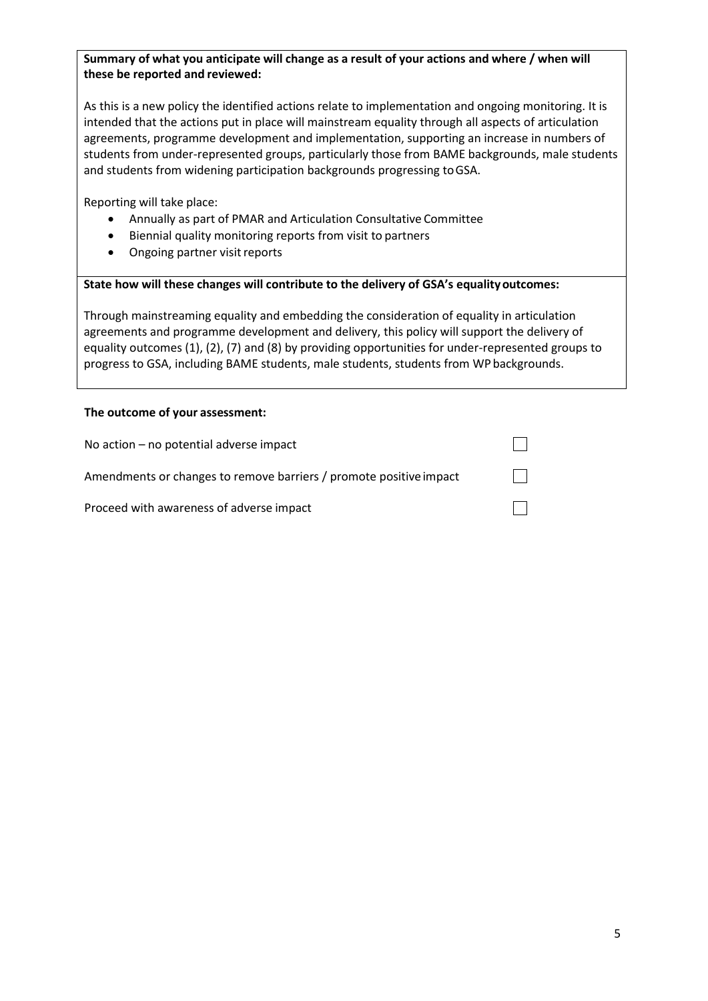## **Summary of what you anticipate will change as a result of your actions and where / when will these be reported and reviewed:**

As this is a new policy the identified actions relate to implementation and ongoing monitoring. It is intended that the actions put in place will mainstream equality through all aspects of articulation agreements, programme development and implementation, supporting an increase in numbers of students from under-represented groups, particularly those from BAME backgrounds, male students and students from widening participation backgrounds progressing toGSA.

Reporting will take place:

- Annually as part of PMAR and Articulation Consultative Committee
- Biennial quality monitoring reports from visit to partners
- Ongoing partner visit reports

#### **State how will these changes will contribute to the delivery of GSA's equalityoutcomes:**

Through mainstreaming equality and embedding the consideration of equality in articulation agreements and programme development and delivery, this policy will support the delivery of equality outcomes (1), (2), (7) and (8) by providing opportunities for under-represented groups to progress to GSA, including BAME students, male students, students from WP backgrounds.

#### **The outcome of your assessment:**

| No action $-$ no potential adverse impact                          |  |
|--------------------------------------------------------------------|--|
| Amendments or changes to remove barriers / promote positive impact |  |
| Proceed with awareness of adverse impact                           |  |